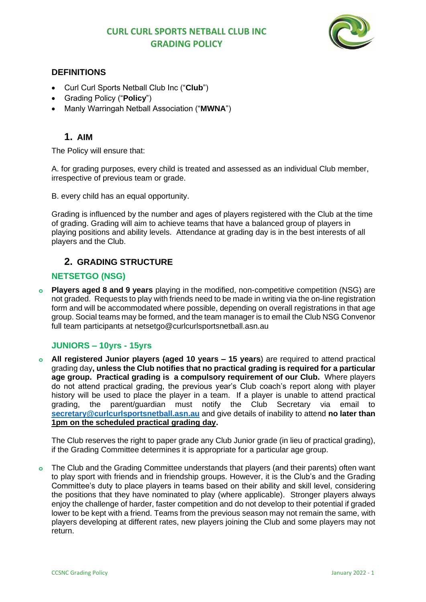# **CURL CURL SPORTS NETBALL CLUB INC GRADING POLICY**



## **DEFINITIONS**

- Curl Curl Sports Netball Club Inc ("**Club**")
- Grading Policy ("**Policy**")
- Manly Warringah Netball Association ("**MWNA**")

# **1. AIM**

The Policy will ensure that:

A. for grading purposes, every child is treated and assessed as an individual Club member, irrespective of previous team or grade.

B. every child has an equal opportunity.

Grading is influenced by the number and ages of players registered with the Club at the time of grading. Grading will aim to achieve teams that have a balanced group of players in playing positions and ability levels. Attendance at grading day is in the best interests of all players and the Club.

# **2. GRADING STRUCTURE**

## **NETSETGO (NSG)**

**Players aged 8 and 9 years** playing in the modified, non-competitive competition (NSG) are not graded. Requests to play with friends need to be made in writing via the on-line registration form and will be accommodated where possible, depending on overall registrations in that age group. Social teams may be formed, and the team manager is to email the Club NSG Convenor full team participants at netsetgo@curlcurlsportsnetball.asn.au

## **JUNIORS – 10yrs - 15yrs**

**o All registered Junior players (aged 10 years – 15 years**) are required to attend practical grading day**, unless the Club notifies that no practical grading is required for a particular age group. Practical grading is a compulsory requirement of our Club.** Where players do not attend practical grading, the previous year's Club coach's report along with player history will be used to place the player in a team. If a player is unable to attend practical grading, the parent/guardian must notify the Club Secretary via email to **[secretary@curlcurlsportsnetball.asn.au](mailto:secretary@curlcurlsportsnetball.asn.au)** and give details of inability to attend **no later than 1pm on the scheduled practical grading day.**

The Club reserves the right to paper grade any Club Junior grade (in lieu of practical grading), if the Grading Committee determines it is appropriate for a particular age group.

**o** The Club and the Grading Committee understands that players (and their parents) often want to play sport with friends and in friendship groups. However, it is the Club's and the Grading Committee's duty to place players in teams based on their ability and skill level, considering the positions that they have nominated to play (where applicable). Stronger players always enjoy the challenge of harder, faster competition and do not develop to their potential if graded lower to be kept with a friend. Teams from the previous season may not remain the same, with players developing at different rates, new players joining the Club and some players may not return.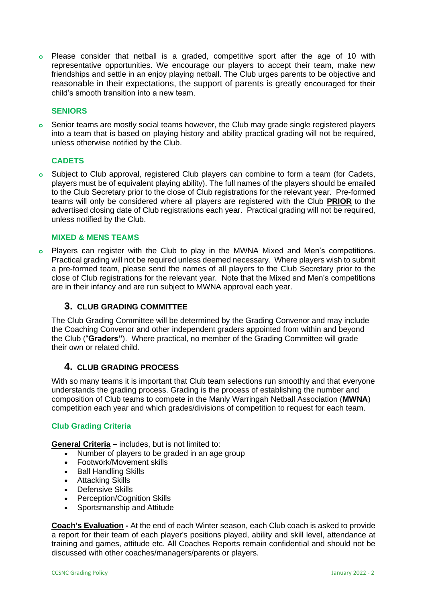**o** Please consider that netball is a graded, competitive sport after the age of 10 with representative opportunities. We encourage our players to accept their team, make new friendships and settle in an enjoy playing netball. The Club urges parents to be objective and reasonable in their expectations, the support of parents is greatly encouraged for their child's smooth transition into a new team.

## **SENIORS**

**o** Senior teams are mostly social teams however, the Club may grade single registered players into a team that is based on playing history and ability practical grading will not be required, unless otherwise notified by the Club.

### **CADETS**

**o** Subject to Club approval, registered Club players can combine to form a team (for Cadets, players must be of equivalent playing ability). The full names of the players should be emailed to the Club Secretary prior to the close of Club registrations for the relevant year. Pre-formed teams will only be considered where all players are registered with the Club **PRIOR** to the advertised closing date of Club registrations each year. Practical grading will not be required, unless notified by the Club.

#### **MIXED & MENS TEAMS**

**o** Players can register with the Club to play in the MWNA Mixed and Men's competitions. Practical grading will not be required unless deemed necessary. Where players wish to submit a pre-formed team, please send the names of all players to the Club Secretary prior to the close of Club registrations for the relevant year. Note that the Mixed and Men's competitions are in their infancy and are run subject to MWNA approval each year.

#### **3. CLUB GRADING COMMITTEE**

The Club Grading Committee will be determined by the Grading Convenor and may include the Coaching Convenor and other independent graders appointed from within and beyond the Club ("**Graders"**). Where practical, no member of the Grading Committee will grade their own or related child.

#### **4. CLUB GRADING PROCESS**

With so many teams it is important that Club team selections run smoothly and that everyone understands the grading process. Grading is the process of establishing the number and composition of Club teams to compete in the Manly Warringah Netball Association (**MWNA**) competition each year and which grades/divisions of competition to request for each team.

### **Club Grading Criteria**

**General Criteria –** includes, but is not limited to:

- Number of players to be graded in an age group
- Footwork/Movement skills
- Ball Handling Skills
- Attacking Skills
- Defensive Skills
- Perception/Cognition Skills
- Sportsmanship and Attitude

**Coach's Evaluation -** At the end of each Winter season, each Club coach is asked to provide a report for their team of each player's positions played, ability and skill level, attendance at training and games, attitude etc. All Coaches Reports remain confidential and should not be discussed with other coaches/managers/parents or players.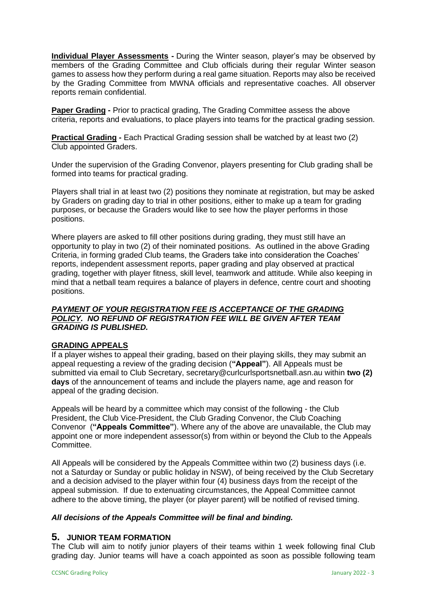**Individual Player Assessments -** During the Winter season, player's may be observed by members of the Grading Committee and Club officials during their regular Winter season games to assess how they perform during a real game situation. Reports may also be received by the Grading Committee from MWNA officials and representative coaches. All observer reports remain confidential.

**Paper Grading -** Prior to practical grading, The Grading Committee assess the above criteria, reports and evaluations, to place players into teams for the practical grading session.

**Practical Grading -** Each Practical Grading session shall be watched by at least two (2) Club appointed Graders.

Under the supervision of the Grading Convenor, players presenting for Club grading shall be formed into teams for practical grading.

Players shall trial in at least two (2) positions they nominate at registration, but may be asked by Graders on grading day to trial in other positions, either to make up a team for grading purposes, or because the Graders would like to see how the player performs in those positions.

Where players are asked to fill other positions during grading, they must still have an opportunity to play in two (2) of their nominated positions. As outlined in the above Grading Criteria, in forming graded Club teams, the Graders take into consideration the Coaches' reports, independent assessment reports, paper grading and play observed at practical grading, together with player fitness, skill level, teamwork and attitude. While also keeping in mind that a netball team requires a balance of players in defence, centre court and shooting positions.

## *PAYMENT OF YOUR REGISTRATION FEE IS ACCEPTANCE OF THE GRADING POLICY. NO REFUND OF REGISTRATION FEE WILL BE GIVEN AFTER TEAM GRADING IS PUBLISHED.*

## **GRADING APPEALS**

If a player wishes to appeal their grading, based on their playing skills, they may submit an appeal requesting a review of the grading decision (**"Appeal"**). All Appeals must be submitted via email to Club Secretary, secretary@curlcurlsportsnetball.asn.au within **two (2) days** of the announcement of teams and include the players name, age and reason for appeal of the grading decision.

Appeals will be heard by a committee which may consist of the following - the Club President, the Club Vice-President, the Club Grading Convenor, the Club Coaching Convenor (**"Appeals Committee"**). Where any of the above are unavailable, the Club may appoint one or more independent assessor(s) from within or beyond the Club to the Appeals Committee.

All Appeals will be considered by the Appeals Committee within two (2) business days (i.e. not a Saturday or Sunday or public holiday in NSW), of being received by the Club Secretary and a decision advised to the player within four (4) business days from the receipt of the appeal submission. If due to extenuating circumstances, the Appeal Committee cannot adhere to the above timing, the player (or player parent) will be notified of revised timing.

#### *All decisions of the Appeals Committee will be final and binding.*

#### **5. JUNIOR TEAM FORMATION**

The Club will aim to notify junior players of their teams within 1 week following final Club grading day. Junior teams will have a coach appointed as soon as possible following team